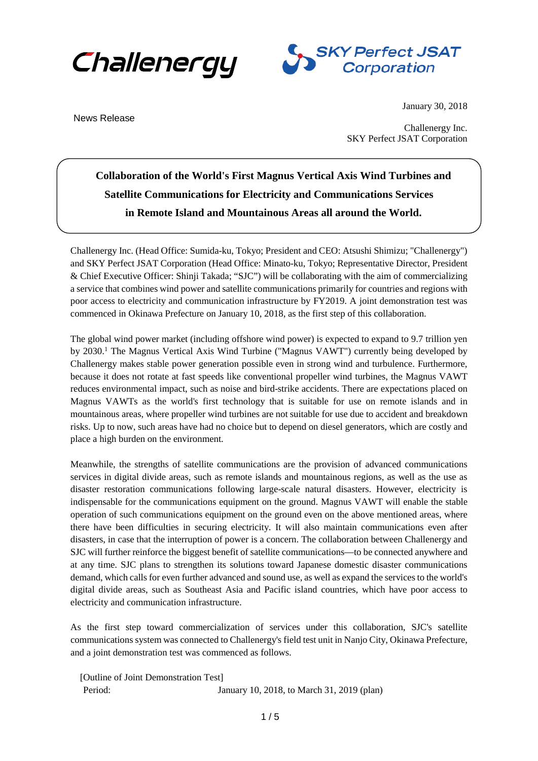



News Release

January 30, 2018

Challenergy Inc. SKY Perfect JSAT Corporation

## **Collaboration of the World's First Magnus Vertical Axis Wind Turbines and Satellite Communications for Electricity and Communications Services in Remote Island and Mountainous Areas all around the World.**

Challenergy Inc. (Head Office: Sumida-ku, Tokyo; President and CEO: Atsushi Shimizu; "Challenergy") and SKY Perfect JSAT Corporation (Head Office: Minato-ku, Tokyo; Representative Director, President & Chief Executive Officer: Shinji Takada; "SJC") will be collaborating with the aim of commercializing a service that combines wind power and satellite communications primarily for countries and regions with poor access to electricity and communication infrastructure by FY2019. A joint demonstration test was commenced in Okinawa Prefecture on January 10, 2018, as the first step of this collaboration.

The global wind power market (including offshore wind power) is expected to expand to 9.7 trillion yen by 2030.1 The Magnus Vertical Axis Wind Turbine ("Magnus VAWT") currently being developed by Challenergy makes stable power generation possible even in strong wind and turbulence. Furthermore, because it does not rotate at fast speeds like conventional propeller wind turbines, the Magnus VAWT reduces environmental impact, such as noise and bird-strike accidents. There are expectations placed on Magnus VAWTs as the world's first technology that is suitable for use on remote islands and in mountainous areas, where propeller wind turbines are not suitable for use due to accident and breakdown risks. Up to now, such areas have had no choice but to depend on diesel generators, which are costly and place a high burden on the environment.

Meanwhile, the strengths of satellite communications are the provision of advanced communications services in digital divide areas, such as remote islands and mountainous regions, as well as the use as disaster restoration communications following large-scale natural disasters. However, electricity is indispensable for the communications equipment on the ground. Magnus VAWT will enable the stable operation of such communications equipment on the ground even on the above mentioned areas, where there have been difficulties in securing electricity. It will also maintain communications even after disasters, in case that the interruption of power is a concern. The collaboration between Challenergy and SJC will further reinforce the biggest benefit of satellite communications—to be connected anywhere and at any time. SJC plans to strengthen its solutions toward Japanese domestic disaster communications demand, which calls for even further advanced and sound use, as well as expand the services to the world's digital divide areas, such as Southeast Asia and Pacific island countries, which have poor access to electricity and communication infrastructure.

As the first step toward commercialization of services under this collaboration, SJC's satellite communications system was connected to Challenergy's field test unit in Nanjo City, Okinawa Prefecture, and a joint demonstration test was commenced as follows.

[Outline of Joint Demonstration Test]

Period: January 10, 2018, to March 31, 2019 (plan)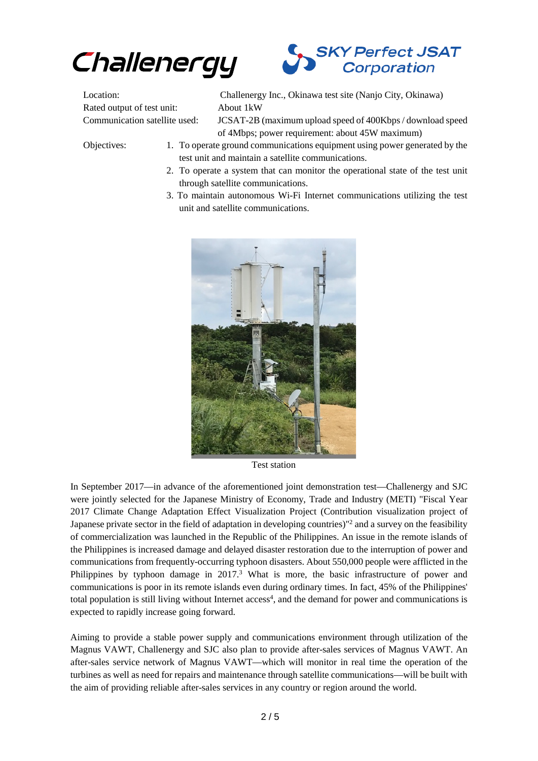Challenergy



| Location:                     | Challenergy Inc., Okinawa test site (Nanjo City, Okinawa)  |
|-------------------------------|------------------------------------------------------------|
| Rated output of test unit:    | About 1 kW                                                 |
| Communication satellite used: | JCSAT-2B (maximum upload speed of 400Kbps / download speed |
|                               | of 4Mbps; power requirement: about 45W maximum)            |

- Objectives: 1. To operate ground communications equipment using power generated by the test unit and maintain a satellite communications.
	- 2. To operate a system that can monitor the operational state of the test unit through satellite communications.
	- 3. To maintain autonomous Wi-Fi Internet communications utilizing the test unit and satellite communications.



Test station

In September 2017—in advance of the aforementioned joint demonstration test—Challenergy and SJC were jointly selected for the Japanese Ministry of Economy, Trade and Industry (METI) "Fiscal Year 2017 Climate Change Adaptation Effect Visualization Project (Contribution visualization project of Japanese private sector in the field of adaptation in developing countries)"2 and a survey on the feasibility of commercialization was launched in the Republic of the Philippines. An issue in the remote islands of the Philippines is increased damage and delayed disaster restoration due to the interruption of power and communications from frequently-occurring typhoon disasters. About 550,000 people were afflicted in the Philippines by typhoon damage in 2017.<sup>3</sup> What is more, the basic infrastructure of power and communications is poor in its remote islands even during ordinary times. In fact, 45% of the Philippines' total population is still living without Internet access<sup>4</sup>, and the demand for power and communications is expected to rapidly increase going forward.

Aiming to provide a stable power supply and communications environment through utilization of the Magnus VAWT, Challenergy and SJC also plan to provide after-sales services of Magnus VAWT. An after-sales service network of Magnus VAWT—which will monitor in real time the operation of the turbines as well as need for repairs and maintenance through satellite communications—will be built with the aim of providing reliable after-sales services in any country or region around the world.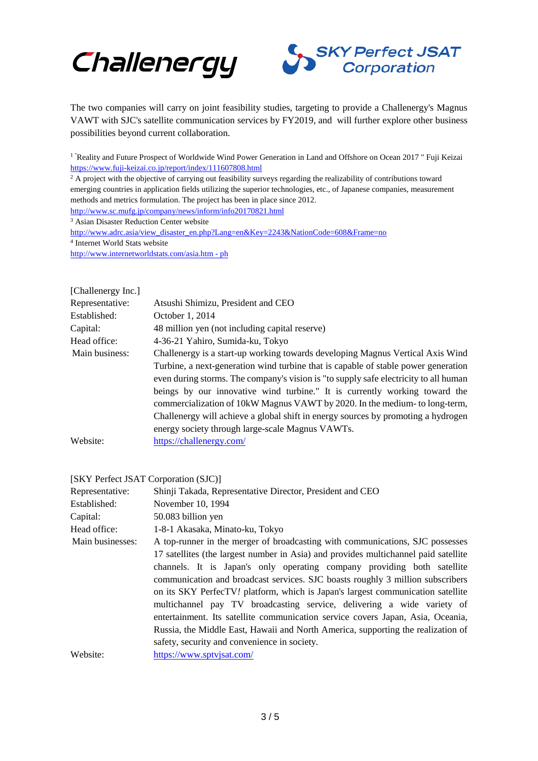



The two companies will carry on joint feasibility studies, targeting to provide a Challenergy's Magnus VAWT with SJC's satellite communication services by FY2019, and will further explore other business possibilities beyond current collaboration.

<sup>1</sup> "Reality and Future Prospect of Worldwide Wind Power Generation in Land and Offshore on Ocean 2017 " Fuji Keizai <https://www.fuji-keizai.co.jp/report/index/111607808.html>

<sup>2</sup> A project with the objective of carrying out feasibility surveys regarding the realizability of contributions toward emerging countries in application fields utilizing the superior technologies, etc., of Japanese companies, measurement methods and metrics formulation. The project has been in place since 2012.

<http://www.sc.mufg.jp/company/news/inform/info20170821.html>

<sup>3</sup> Asian Disaster Reduction Center website

[http://www.adrc.asia/view\\_disaster\\_en.php?Lang=en&Key=2243&NationCode=608&Frame=no](http://www.adrc.asia/view_disaster_en.php?Lang=en&Key=2243&NationCode=608&Frame=no)

<sup>4</sup> Internet World Stats website

[http://www.internetworldstats.com/asia.htm -](http://www.internetworldstats.com/asia.htm#ph) ph

| [Challenergy Inc.] |                                                                                      |
|--------------------|--------------------------------------------------------------------------------------|
| Representative:    | Atsushi Shimizu, President and CEO                                                   |
| Established:       | October 1, 2014                                                                      |
| Capital:           | 48 million yen (not including capital reserve)                                       |
| Head office:       | 4-36-21 Yahiro, Sumida-ku, Tokyo                                                     |
| Main business:     | Challenergy is a start-up working towards developing Magnus Vertical Axis Wind       |
|                    | Turbine, a next-generation wind turbine that is capable of stable power generation   |
|                    | even during storms. The company's vision is "to supply safe electricity to all human |
|                    | beings by our innovative wind turbine." It is currently working toward the           |
|                    | commercialization of 10kW Magnus VAWT by 2020. In the medium- to long-term,          |
|                    | Challenergy will achieve a global shift in energy sources by promoting a hydrogen    |
|                    | energy society through large-scale Magnus VAWTs.                                     |
| Website:           | https://challenergy.com/                                                             |

| [SKY Perfect JSAT Corporation (SJC)] |                                                                                                                                                                                                                                                                                                                                                                                                                                                                                                                                                                                                                                                                                                                       |
|--------------------------------------|-----------------------------------------------------------------------------------------------------------------------------------------------------------------------------------------------------------------------------------------------------------------------------------------------------------------------------------------------------------------------------------------------------------------------------------------------------------------------------------------------------------------------------------------------------------------------------------------------------------------------------------------------------------------------------------------------------------------------|
| Representative:                      | Shinji Takada, Representative Director, President and CEO                                                                                                                                                                                                                                                                                                                                                                                                                                                                                                                                                                                                                                                             |
| Established:                         | November 10, 1994                                                                                                                                                                                                                                                                                                                                                                                                                                                                                                                                                                                                                                                                                                     |
| Capital:                             | 50.083 billion yen                                                                                                                                                                                                                                                                                                                                                                                                                                                                                                                                                                                                                                                                                                    |
| Head office:                         | 1-8-1 Akasaka, Minato-ku, Tokyo                                                                                                                                                                                                                                                                                                                                                                                                                                                                                                                                                                                                                                                                                       |
| Main businesses:                     | A top-runner in the merger of broadcasting with communications, SJC possesses<br>17 satellites (the largest number in Asia) and provides multichannel paid satellite<br>channels. It is Japan's only operating company providing both satellite<br>communication and broadcast services. SJC boasts roughly 3 million subscribers<br>on its SKY Perfecty! platform, which is Japan's largest communication satellite<br>multichannel pay TV broadcasting service, delivering a wide variety of<br>entertainment. Its satellite communication service covers Japan, Asia, Oceania,<br>Russia, the Middle East, Hawaii and North America, supporting the realization of<br>safety, security and convenience in society. |
| Website:                             | https://www.sptvjsat.com/                                                                                                                                                                                                                                                                                                                                                                                                                                                                                                                                                                                                                                                                                             |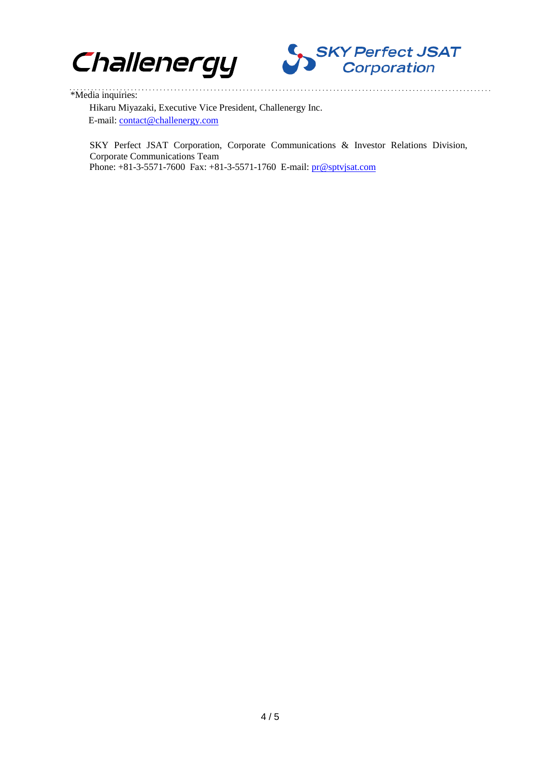



## \*Media inquiries:

Hikaru Miyazaki, Executive Vice President, Challenergy Inc. E-mail: [contact@challenergy.com](mailto:contact@challenergy.com)

SKY Perfect JSAT Corporation, Corporate Communications & Investor Relations Division, Corporate Communications Team Phone: +81-3-5571-7600 Fax: +81-3-5571-1760 E-mail: [pr@sptvjsat.com](mailto:pr@sptvjsat.com)